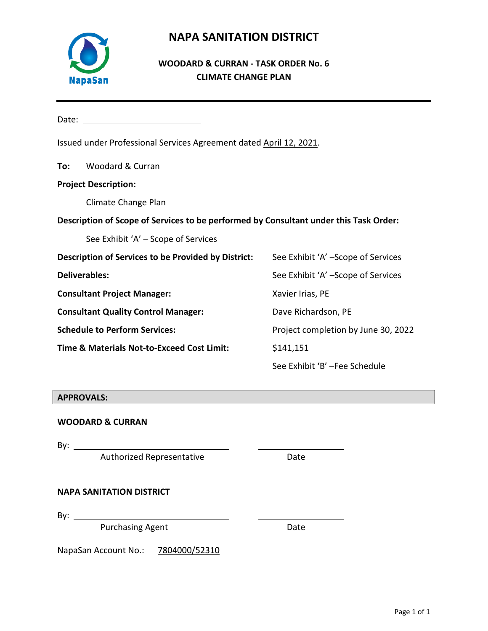

# **NAPA SANITATION DISTRICT**

## **WOODARD & CURRAN - TASK ORDER No. 6 CLIMATE CHANGE PLAN**

| Date:                                                                                 |                                                     |                                     |  |  |  |  |  |  |  |
|---------------------------------------------------------------------------------------|-----------------------------------------------------|-------------------------------------|--|--|--|--|--|--|--|
| Issued under Professional Services Agreement dated April 12, 2021.                    |                                                     |                                     |  |  |  |  |  |  |  |
| To:                                                                                   | Woodard & Curran                                    |                                     |  |  |  |  |  |  |  |
| <b>Project Description:</b>                                                           |                                                     |                                     |  |  |  |  |  |  |  |
|                                                                                       | Climate Change Plan                                 |                                     |  |  |  |  |  |  |  |
| Description of Scope of Services to be performed by Consultant under this Task Order: |                                                     |                                     |  |  |  |  |  |  |  |
|                                                                                       | See Exhibit 'A' – Scope of Services                 |                                     |  |  |  |  |  |  |  |
|                                                                                       | Description of Services to be Provided by District: | See Exhibit 'A' -Scope of Services  |  |  |  |  |  |  |  |
|                                                                                       | <b>Deliverables:</b>                                | See Exhibit 'A' -Scope of Services  |  |  |  |  |  |  |  |
|                                                                                       | <b>Consultant Project Manager:</b>                  | Xavier Irias, PE                    |  |  |  |  |  |  |  |
|                                                                                       | <b>Consultant Quality Control Manager:</b>          | Dave Richardson, PE                 |  |  |  |  |  |  |  |
|                                                                                       | <b>Schedule to Perform Services:</b>                | Project completion by June 30, 2022 |  |  |  |  |  |  |  |
|                                                                                       | Time & Materials Not-to-Exceed Cost Limit:          | \$141,151                           |  |  |  |  |  |  |  |
|                                                                                       |                                                     | See Exhibit 'B' -Fee Schedule       |  |  |  |  |  |  |  |

## **APPROVALS:**

## **WOODARD & CURRAN**

By:

Authorized Representative **Example 20 Fig. 2018** 

**NAPA SANITATION DISTRICT**

By:  $\_\_\_\_\_\_\_\_\_\_\_\_\_\_\_\_\_\_\_\_\_\_\_\_\_\_\_\_\_\_\_\_\_\_$ 

Purchasing Agent **Date** 

NapaSan Account No.: 7804000/52310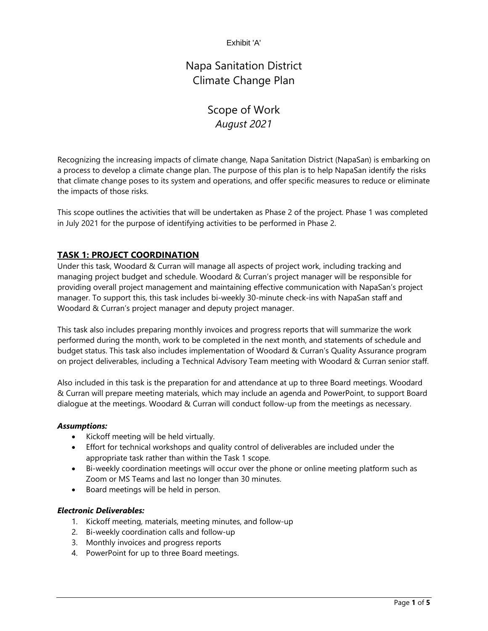Exhibit 'A'

Napa Sanitation District Climate Change Plan

# Scope of Work *August 2021*

Recognizing the increasing impacts of climate change, Napa Sanitation District (NapaSan) is embarking on a process to develop a climate change plan. The purpose of this plan is to help NapaSan identify the risks that climate change poses to its system and operations, and offer specific measures to reduce or eliminate the impacts of those risks.

This scope outlines the activities that will be undertaken as Phase 2 of the project. Phase 1 was completed in July 2021 for the purpose of identifying activities to be performed in Phase 2.

## **TASK 1: PROJECT COORDINATION**

Under this task, Woodard & Curran will manage all aspects of project work, including tracking and managing project budget and schedule. Woodard & Curran's project manager will be responsible for providing overall project management and maintaining effective communication with NapaSan's project manager. To support this, this task includes bi-weekly 30-minute check-ins with NapaSan staff and Woodard & Curran's project manager and deputy project manager.

This task also includes preparing monthly invoices and progress reports that will summarize the work performed during the month, work to be completed in the next month, and statements of schedule and budget status. This task also includes implementation of Woodard & Curran's Quality Assurance program on project deliverables, including a Technical Advisory Team meeting with Woodard & Curran senior staff.

Also included in this task is the preparation for and attendance at up to three Board meetings. Woodard & Curran will prepare meeting materials, which may include an agenda and PowerPoint, to support Board dialogue at the meetings. Woodard & Curran will conduct follow-up from the meetings as necessary.

#### *Assumptions:*

- Kickoff meeting will be held virtually.
- Effort for technical workshops and quality control of deliverables are included under the appropriate task rather than within the Task 1 scope.
- Bi-weekly coordination meetings will occur over the phone or online meeting platform such as Zoom or MS Teams and last no longer than 30 minutes.
- Board meetings will be held in person.

#### *Electronic Deliverables:*

- 1. Kickoff meeting, materials, meeting minutes, and follow-up
- 2. Bi-weekly coordination calls and follow-up
- 3. Monthly invoices and progress reports
- 4. PowerPoint for up to three Board meetings.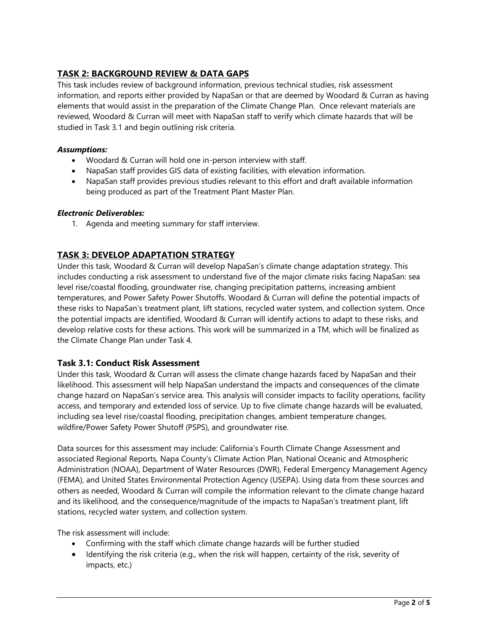## **TASK 2: BACKGROUND REVIEW & DATA GAPS**

This task includes review of background information, previous technical studies, risk assessment information, and reports either provided by NapaSan or that are deemed by Woodard & Curran as having elements that would assist in the preparation of the Climate Change Plan. Once relevant materials are reviewed, Woodard & Curran will meet with NapaSan staff to verify which climate hazards that will be studied in Task 3.1 and begin outlining risk criteria.

#### *Assumptions:*

- Woodard & Curran will hold one in-person interview with staff.
- NapaSan staff provides GIS data of existing facilities, with elevation information.
- NapaSan staff provides previous studies relevant to this effort and draft available information being produced as part of the Treatment Plant Master Plan.

#### *Electronic Deliverables:*

1. Agenda and meeting summary for staff interview.

## **TASK 3: DEVELOP ADAPTATION STRATEGY**

Under this task, Woodard & Curran will develop NapaSan's climate change adaptation strategy. This includes conducting a risk assessment to understand five of the major climate risks facing NapaSan: sea level rise/coastal flooding, groundwater rise, changing precipitation patterns, increasing ambient temperatures, and Power Safety Power Shutoffs. Woodard & Curran will define the potential impacts of these risks to NapaSan's treatment plant, lift stations, recycled water system, and collection system. Once the potential impacts are identified, Woodard & Curran will identify actions to adapt to these risks, and develop relative costs for these actions. This work will be summarized in a TM, which will be finalized as the Climate Change Plan under Task 4.

## **Task 3.1: Conduct Risk Assessment**

Under this task, Woodard & Curran will assess the climate change hazards faced by NapaSan and their likelihood. This assessment will help NapaSan understand the impacts and consequences of the climate change hazard on NapaSan's service area. This analysis will consider impacts to facility operations, facility access, and temporary and extended loss of service. Up to five climate change hazards will be evaluated, including sea level rise/coastal flooding, precipitation changes, ambient temperature changes, wildfire/Power Safety Power Shutoff (PSPS), and groundwater rise.

Data sources for this assessment may include: California's Fourth Climate Change Assessment and associated Regional Reports, Napa County's Climate Action Plan, National Oceanic and Atmospheric Administration (NOAA), Department of Water Resources (DWR), Federal Emergency Management Agency (FEMA), and United States Environmental Protection Agency (USEPA). Using data from these sources and others as needed, Woodard & Curran will compile the information relevant to the climate change hazard and its likelihood, and the consequence/magnitude of the impacts to NapaSan's treatment plant, lift stations, recycled water system, and collection system.

The risk assessment will include:

- Confirming with the staff which climate change hazards will be further studied
- Identifying the risk criteria (e.g., when the risk will happen, certainty of the risk, severity of impacts, etc.)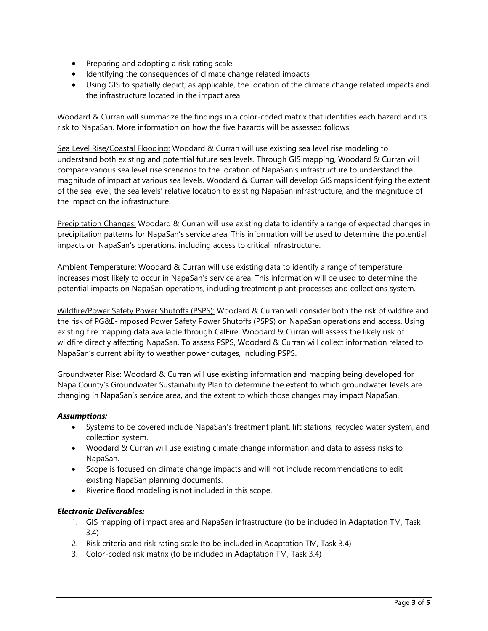- Preparing and adopting a risk rating scale
- Identifying the consequences of climate change related impacts
- Using GIS to spatially depict, as applicable, the location of the climate change related impacts and the infrastructure located in the impact area

Woodard & Curran will summarize the findings in a color-coded matrix that identifies each hazard and its risk to NapaSan. More information on how the five hazards will be assessed follows.

Sea Level Rise/Coastal Flooding: Woodard & Curran will use existing sea level rise modeling to understand both existing and potential future sea levels. Through GIS mapping, Woodard & Curran will compare various sea level rise scenarios to the location of NapaSan's infrastructure to understand the magnitude of impact at various sea levels. Woodard & Curran will develop GIS maps identifying the extent of the sea level, the sea levels' relative location to existing NapaSan infrastructure, and the magnitude of the impact on the infrastructure.

Precipitation Changes: Woodard & Curran will use existing data to identify a range of expected changes in precipitation patterns for NapaSan's service area. This information will be used to determine the potential impacts on NapaSan's operations, including access to critical infrastructure.

Ambient Temperature: Woodard & Curran will use existing data to identify a range of temperature increases most likely to occur in NapaSan's service area. This information will be used to determine the potential impacts on NapaSan operations, including treatment plant processes and collections system.

Wildfire/Power Safety Power Shutoffs (PSPS): Woodard & Curran will consider both the risk of wildfire and the risk of PG&E-imposed Power Safety Power Shutoffs (PSPS) on NapaSan operations and access. Using existing fire mapping data available through CalFire, Woodard & Curran will assess the likely risk of wildfire directly affecting NapaSan. To assess PSPS, Woodard & Curran will collect information related to NapaSan's current ability to weather power outages, including PSPS.

Groundwater Rise: Woodard & Curran will use existing information and mapping being developed for Napa County's Groundwater Sustainability Plan to determine the extent to which groundwater levels are changing in NapaSan's service area, and the extent to which those changes may impact NapaSan.

## *Assumptions:*

- Systems to be covered include NapaSan's treatment plant, lift stations, recycled water system, and collection system.
- Woodard & Curran will use existing climate change information and data to assess risks to NapaSan.
- Scope is focused on climate change impacts and will not include recommendations to edit existing NapaSan planning documents.
- Riverine flood modeling is not included in this scope.

#### *Electronic Deliverables:*

- 1. GIS mapping of impact area and NapaSan infrastructure (to be included in Adaptation TM, Task 3.4)
- 2. Risk criteria and risk rating scale (to be included in Adaptation TM, Task 3.4)
- 3. Color-coded risk matrix (to be included in Adaptation TM, Task 3.4)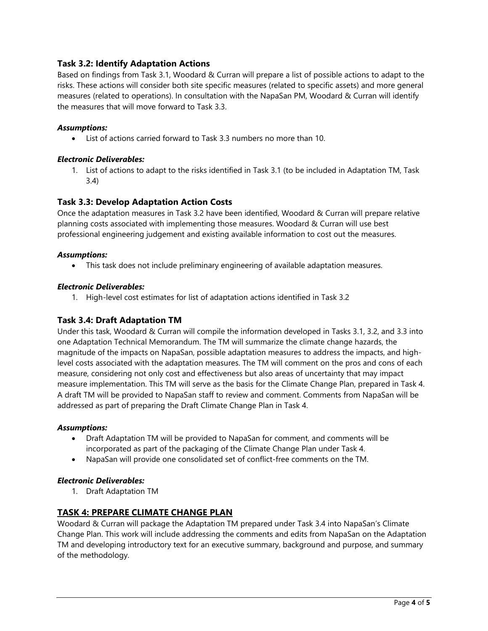## **Task 3.2: Identify Adaptation Actions**

Based on findings from Task 3.1, Woodard & Curran will prepare a list of possible actions to adapt to the risks. These actions will consider both site specific measures (related to specific assets) and more general measures (related to operations). In consultation with the NapaSan PM, Woodard & Curran will identify the measures that will move forward to Task 3.3.

#### *Assumptions:*

• List of actions carried forward to Task 3.3 numbers no more than 10.

#### *Electronic Deliverables:*

1. List of actions to adapt to the risks identified in Task 3.1 (to be included in Adaptation TM, Task 3.4)

## **Task 3.3: Develop Adaptation Action Costs**

Once the adaptation measures in Task 3.2 have been identified, Woodard & Curran will prepare relative planning costs associated with implementing those measures. Woodard & Curran will use best professional engineering judgement and existing available information to cost out the measures.

#### *Assumptions:*

• This task does not include preliminary engineering of available adaptation measures.

#### *Electronic Deliverables:*

1. High-level cost estimates for list of adaptation actions identified in Task 3.2

## **Task 3.4: Draft Adaptation TM**

Under this task, Woodard & Curran will compile the information developed in Tasks 3.1, 3.2, and 3.3 into one Adaptation Technical Memorandum. The TM will summarize the climate change hazards, the magnitude of the impacts on NapaSan, possible adaptation measures to address the impacts, and highlevel costs associated with the adaptation measures. The TM will comment on the pros and cons of each measure, considering not only cost and effectiveness but also areas of uncertainty that may impact measure implementation. This TM will serve as the basis for the Climate Change Plan, prepared in Task 4. A draft TM will be provided to NapaSan staff to review and comment. Comments from NapaSan will be addressed as part of preparing the Draft Climate Change Plan in Task 4.

#### *Assumptions:*

- Draft Adaptation TM will be provided to NapaSan for comment, and comments will be incorporated as part of the packaging of the Climate Change Plan under Task 4.
- NapaSan will provide one consolidated set of conflict-free comments on the TM.

#### *Electronic Deliverables:*

1. Draft Adaptation TM

## **TASK 4: PREPARE CLIMATE CHANGE PLAN**

Woodard & Curran will package the Adaptation TM prepared under Task 3.4 into NapaSan's Climate Change Plan. This work will include addressing the comments and edits from NapaSan on the Adaptation TM and developing introductory text for an executive summary, background and purpose, and summary of the methodology.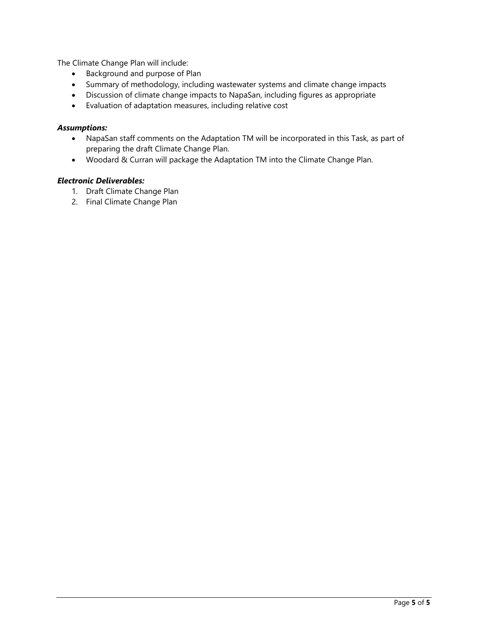The Climate Change Plan will include:

- Background and purpose of Plan
- Summary of methodology, including wastewater systems and climate change impacts
- Discussion of climate change impacts to NapaSan, including figures as appropriate
- Evaluation of adaptation measures, including relative cost

#### *Assumptions:*

- NapaSan staff comments on the Adaptation TM will be incorporated in this Task, as part of preparing the draft Climate Change Plan.
- Woodard & Curran will package the Adaptation TM into the Climate Change Plan.

## *Electronic Deliverables:*

- 1. Draft Climate Change Plan
- 2. Final Climate Change Plan